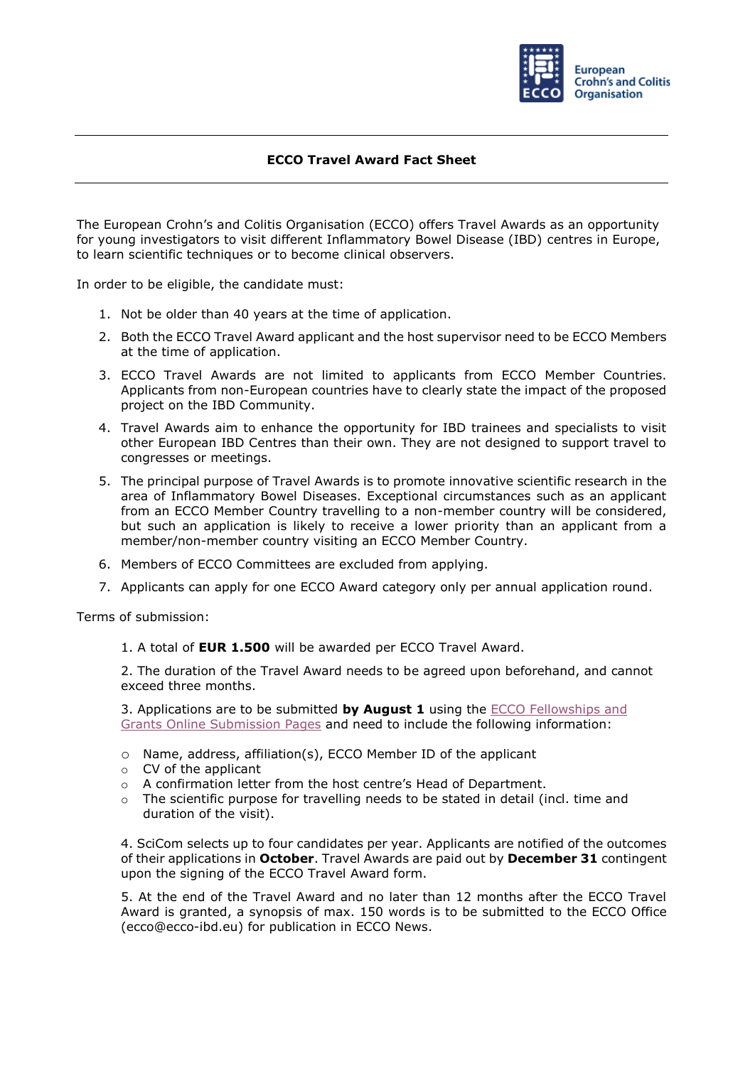

## **ECCO Travel Award Fact Sheet**

The European Crohn's and Colitis Organisation (ECCO) offers Travel Awards as an opportunity for young investigators to visit different Inflammatory Bowel Disease (IBD) centres in Europe, to learn scientific techniques or to become clinical observers.

In order to be eligible, the candidate must:

- 1. Not be older than 40 years at the time of application.
- 2. Both the ECCO Travel Award applicant and the host supervisor need to be ECCO Members at the time of application.
- 3. ECCO Travel Awards are not limited to applicants from ECCO Member Countries. Applicants from non-European countries have to clearly state the impact of the proposed project on the IBD Community.
- 4. Travel Awards aim to enhance the opportunity for IBD trainees and specialists to visit other European IBD Centres than their own. They are not designed to support travel to congresses or meetings.
- 5. The principal purpose of Travel Awards is to promote innovative scientific research in the area of Inflammatory Bowel Diseases. Exceptional circumstances such as an applicant from an ECCO Member Country travelling to a non-member country will be considered, but such an application is likely to receive a lower priority than an applicant from a member/non-member country visiting an ECCO Member Country.
- 6. Members of ECCO Committees are excluded from applying.
- 7. Applicants can apply for one ECCO Award category only per annual application round.

Terms of submission:

1. A total of **EUR 1.500** will be awarded per ECCO Travel Award.

2. The duration of the Travel Award needs to be agreed upon beforehand, and cannot exceed three months.

3. Applications are to be submitted **by August 1** using the [ECCO Fellowships and](https://cm.ecco-ibd.eu/cmPortal/Proposal/ASSOC22/config/normal/redirectconfig/ECCOTravelAward)  [Grants Online Submission Pages](https://cm.ecco-ibd.eu/cmPortal/Proposal/ASSOC22/config/normal/redirectconfig/ECCOTravelAward) and need to include the following information:

- o Name, address, affiliation(s), ECCO Member ID of the applicant
- o CV of the applicant
- o A confirmation letter from the host centre's Head of Department.
- $\circ$  The scientific purpose for travelling needs to be stated in detail (incl. time and duration of the visit).

4. SciCom selects up to four candidates per year. Applicants are notified of the outcomes of their applications in **October**. Travel Awards are paid out by **December 31** contingent upon the signing of the ECCO Travel Award form.

5. At the end of the Travel Award and no later than 12 months after the ECCO Travel Award is granted, a synopsis of max. 150 words is to be submitted to the ECCO Office [\(ecco@ecco-ibd.eu\)](mailto:ecco@ecco-ibd.eu) for publication in ECCO News.